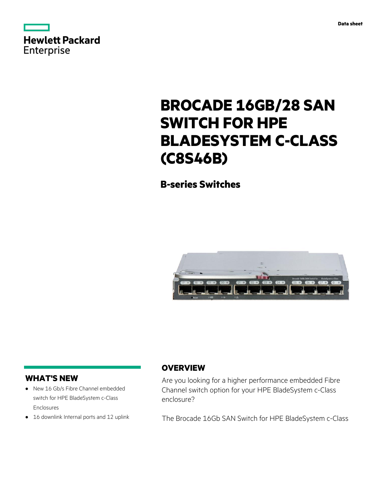|            | Hewlett Packard |
|------------|-----------------|
|            |                 |
| Enterprise |                 |

# **BROCADE 16GB/28 SAN SWITCH FOR HPE BLADESYSTEM C-CLASS**

**B-series Switches**

**(C8S46B)**



# **WHAT'S NEW**

- **·** New 16 Gb/s Fibre Channel embedded switch for HPE BladeSystem c-Class Enclosures
- **·** 16 downlink Internal ports and 12 uplink

# **OVERVIEW**

Are you looking for a higher performance embedded Fibre Channel switch option for your HPE BladeSystem c-Class enclosure?

The Brocade 16Gb SAN Switch for HPE BladeSystem c-Class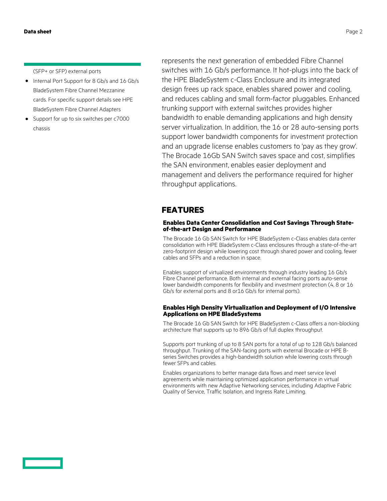(SFP+ or SFP) external ports

- **·** Internal Port Support for 8 Gb/s and 16 Gb/s BladeSystem Fibre Channel Mezzanine cards. For specific support details see HPE BladeSystem Fibre Channel Adapters
- **·** Support for up to six switches per c7000 chassis

represents the next generation of embedded Fibre Channel switches with 16 Gb/s performance. It hot-plugs into the back of the HPE BladeSystem c-Class Enclosure and its integrated design frees up rack space, enables shared power and cooling, and reduces cabling and small form-factor pluggables. Enhanced trunking support with external switches provides higher bandwidth to enable demanding applications and high density server virtualization. In addition, the 16 or 28 auto-sensing ports support lower bandwidth components for investment protection and an upgrade license enables customers to 'pay as they grow'. The Brocade 16Gb SAN Switch saves space and cost, simplifies the SAN environment, enables easier deployment and management and delivers the performance required for higher throughput applications.

### **FEATURES**

### **Enables Data Center Consolidation and Cost Savings Through Stateof-the-art Design and Performance**

The Brocade 16 Gb SAN Switch for HPE BladeSystem c-Class enables data center consolidation with HPE BladeSystem c-Class enclosures through a state-of-the-art zero-footprint design while lowering cost through shared power and cooling, fewer cables and SFPs and a reduction in space.

Enables support of virtualized environments through industry leading 16 Gb/s Fibre Channel performance. Both internal and external facing ports auto-sense lower bandwidth components for flexibility and investment protection (4, 8 or 16 Gb/s for external ports and 8 or16 Gb/s for internal ports).

### **Enables High Density Virtualization and Deployment of I/O Intensive Applications on HPE BladeSystems**

The Brocade 16 Gb SAN Switch for HPE BladeSystem c-Class offers a non-blocking architecture that supports up to 896 Gb/s of full duplex throughput.

Supports port trunking of up to 8 SAN ports for a total of up to 128 Gb/s balanced throughput. Trunking of the SAN-facing ports with external Brocade or HPE Bseries Switches provides a high-bandwidth solution while lowering costs through fewer SFPs and cables.

Enables organizations to better manage data flows and meet service level agreements while maintaining optimized application performance in virtual environments with new Adaptive Networking services, including Adaptive Fabric Quality of Service, Traffic Isolation, and Ingress Rate Limiting.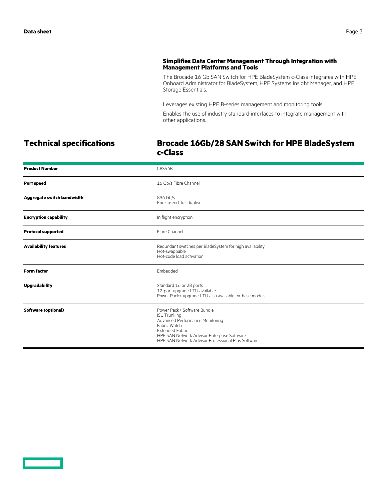### **Simplifies Data Center Management Through Integration with Management Platforms and Tools**

The Brocade 16 Gb SAN Switch for HPE BladeSystem c-Class integrates with HPE Onboard Administrator for BladeSystem, HPE Systems Insight Manager, and HPE Storage Essentials.

Leverages existing HPE B-series management and monitoring tools.

Enables the use of industry standard interfaces to integrate management with other applications.

<u>e a se</u>

## **Technical specifications Brocade 16Gb/28 SAN Switch for HPE BladeSystem c-Class**

| <b>Product Number</b>        | C8S46B                                                                                                                                                                                                                               |
|------------------------------|--------------------------------------------------------------------------------------------------------------------------------------------------------------------------------------------------------------------------------------|
| <b>Port speed</b>            | 16 Gb/s Fibre Channel                                                                                                                                                                                                                |
| Aggregate switch bandwidth   | 896 Gb/s<br>End-to-end, full duplex                                                                                                                                                                                                  |
| <b>Encryption capability</b> | In flight encryption                                                                                                                                                                                                                 |
| <b>Protocol supported</b>    | Fibre Channel                                                                                                                                                                                                                        |
| <b>Availability features</b> | Redundant switches per BladeSystem for high availability<br>Hot-swappable<br>Hot-code load activation                                                                                                                                |
| <b>Form factor</b>           | Embedded                                                                                                                                                                                                                             |
| <b>Upgradability</b>         | Standard 16 or 28 ports<br>12-port upgrade LTU available<br>Power Pack+ upgrade LTU also available for base models                                                                                                                   |
| <b>Software (optional)</b>   | Power Pack+ Software Bundle<br><b>ISL Trunking</b><br>Advanced Performance Monitoring<br>Fabric Watch<br><b>Extended Fabric</b><br>HPE SAN Network Advisor Enterprise Software<br>HPF SAN Network Advisor Professional Plus Software |